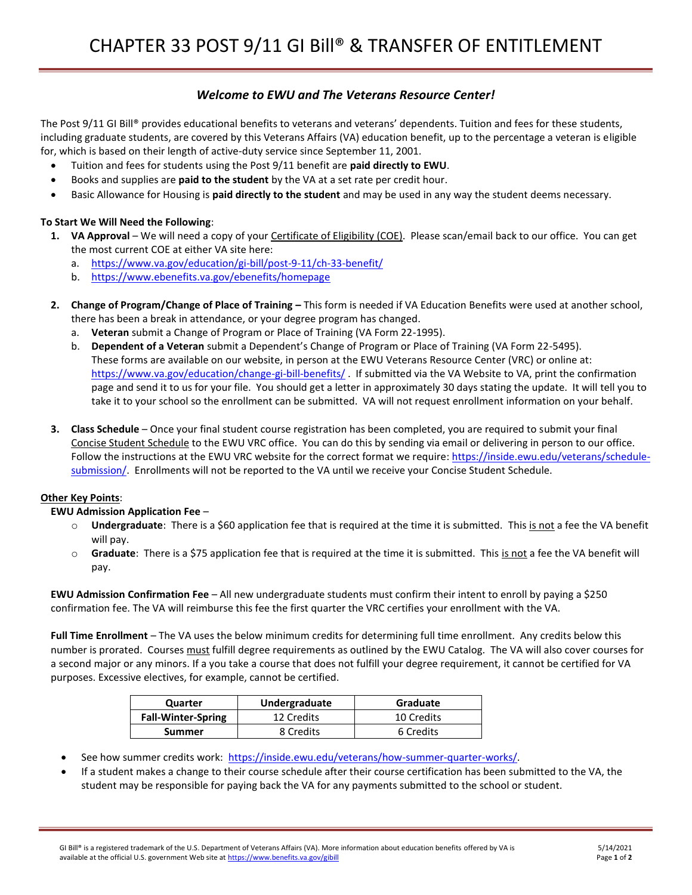# *Welcome to EWU and The Veterans Resource Center!*

The Post 9/11 GI Bill® provides educational benefits to veterans and veterans' dependents. Tuition and fees for these students, including graduate students, are covered by this Veterans Affairs (VA) education benefit, up to the percentage a veteran is eligible for, which is based on their length of active-duty service since September 11, 2001.

- Tuition and fees for students using the Post 9/11 benefit are **paid directly to EWU**.
- Books and supplies are **paid to the student** by the VA at a set rate per credit hour.
- Basic Allowance for Housing is **paid directly to the student** and may be used in any way the student deems necessary.

## **To Start We Will Need the Following**:

- 1. VA Approval We will need a copy of your Certificate of Eligibility (COE). Please scan/email back to our office. You can get the most current COE at either VA site here:
	- a. <https://www.va.gov/education/gi-bill/post-9-11/ch-33-benefit/>
	- b. <https://www.ebenefits.va.gov/ebenefits/homepage>
- **2. Change of Program/Change of Place of Training –** This form is needed if VA Education Benefits were used at another school, there has been a break in attendance, or your degree program has changed.
	- a. **Veteran** submit a Change of Program or Place of Training (VA Form 22-1995).
	- b. **Dependent of a Veteran** submit a Dependent's Change of Program or Place of Training (VA Form 22-5495). These forms are available on our website, in person at the EWU Veterans Resource Center (VRC) or online at: <https://www.va.gov/education/change-gi-bill-benefits/> . If submitted via the VA Website to VA, print the confirmation page and send it to us for your file. You should get a letter in approximately 30 days stating the update. It will tell you to take it to your school so the enrollment can be submitted. VA will not request enrollment information on your behalf.
- **3. Class Schedule** Once your final student course registration has been completed, you are required to submit your final Concise Student Schedule to the EWU VRC office. You can do this by sending via email or delivering in person to our office. Follow the instructions at the EWU VRC website for the correct format we require: [https://inside.ewu.edu/veterans/schedule](https://inside.ewu.edu/veterans/schedule-submission/)[submission/.](https://inside.ewu.edu/veterans/schedule-submission/) Enrollments will not be reported to the VA until we receive your Concise Student Schedule.

#### **Other Key Points**:

#### **EWU Admission Application Fee** –

- o **Undergraduate**: There is a \$60 application fee that is required at the time it is submitted. This is not a fee the VA benefit will pay.
- o **Graduate**: There is a \$75 application fee that is required at the time it is submitted. This is not a fee the VA benefit will pay.

**EWU Admission Confirmation Fee** – All new undergraduate students must confirm their intent to enroll by paying a \$250 confirmation fee. The VA will reimburse this fee the first quarter the VRC certifies your enrollment with the VA.

**Full Time Enrollment** – The VA uses the below minimum credits for determining full time enrollment. Any credits below this number is prorated. Courses must fulfill degree requirements as outlined by the EWU Catalog. The VA will also cover courses for a second major or any minors. If a you take a course that does not fulfill your degree requirement, it cannot be certified for VA purposes. Excessive electives, for example, cannot be certified.

| Quarter                   | Undergraduate | Graduate   |
|---------------------------|---------------|------------|
| <b>Fall-Winter-Spring</b> | 12 Credits    | 10 Credits |
| Summer                    | 8 Credits     | 6 Credits  |

- See how summer credits work: [https://inside.ewu.edu/veterans/how-summer-quarter-works/.](https://inside.ewu.edu/veterans/how-summer-quarter-works/)
- If a student makes a change to their course schedule after their course certification has been submitted to the VA, the student may be responsible for paying back the VA for any payments submitted to the school or student.